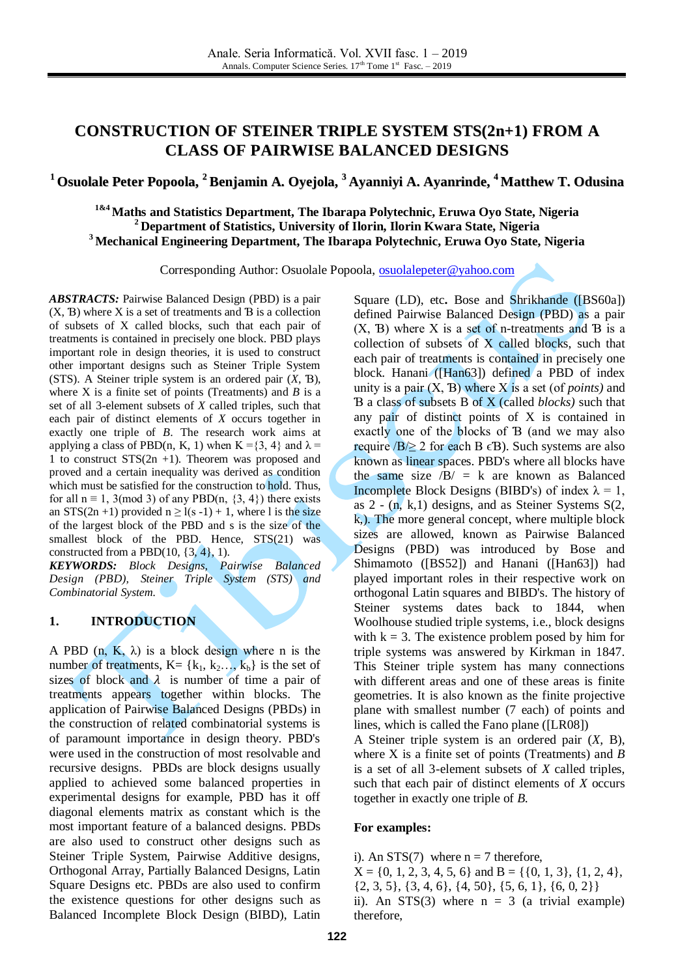# **CONSTRUCTION OF STEINER TRIPLE SYSTEM STS(2n+1) FROM A CLASS OF PAIRWISE BALANCED DESIGNS**

# **<sup>1</sup> Osuolale Peter Popoola, <sup>2</sup> Benjamin A. Oyejola, <sup>3</sup> Ayanniyi A. Ayanrinde, <sup>4</sup> Matthew T. Odusina**

**1&4 Maths and Statistics Department, The Ibarapa Polytechnic, Eruwa Oyo State, Nigeria <sup>2</sup> Department of Statistics, University of Ilorin, Ilorin Kwara State, Nigeria <sup>3</sup> Mechanical Engineering Department, The Ibarapa Polytechnic, Eruwa Oyo State, Nigeria**

Corresponding Author: Osuolale Popoola, [osuolalepeter@yahoo.com](mailto:osuolalepeter@yahoo.com)

*ABSTRACTS:* Pairwise Balanced Design (PBD) is a pair (X, Ɓ) where X is a set of treatments and Ɓ is a collection of subsets of X called blocks, such that each pair of treatments is contained in precisely one block. PBD plays important role in design theories, it is used to construct other important designs such as Steiner Triple System (STS). A Steiner triple system is an ordered pair (*X*, Ɓ), where X is a finite set of points (Treatments) and *B* is a set of all 3-element subsets of *X* called triples, such that each pair of distinct elements of *X* occurs together in exactly one triple of *B*. The research work aims at applying a class of PBD(n, K, 1) when K = {3, 4} and  $\lambda$  = 1 to construct STS(2n +1). Theorem was proposed and proved and a certain inequality was derived as condition which must be satisfied for the construction to hold. Thus, for all  $n \equiv 1$ , 3(mod 3) of any PBD(n, {3, 4}) there exists an STS(2n +1) provided  $n \ge l(s - 1) + 1$ , where l is the size of the largest block of the PBD and s is the size of the smallest block of the PBD. Hence, STS(21) was constructed from a PBD $(10, \{3, 4\}, 1)$ .

*KEYWORDS: Block Designs, Pairwise Balanced Design (PBD), Steiner Triple System (STS) and Combinatorial System.* 

## **1. INTRODUCTION**

A PBD  $(n, K, \lambda)$  is a block design where n is the number of treatments,  $K = \{k_1, k_2, \ldots, k_b\}$  is the set of sizes of block and  $\lambda$  is number of time a pair of treatments appears together within blocks. The application of Pairwise Balanced Designs (PBDs) in the construction of related combinatorial systems is of paramount importance in design theory. PBD's were used in the construction of most resolvable and recursive designs. PBDs are block designs usually applied to achieved some balanced properties in experimental designs for example, PBD has it off diagonal elements matrix as constant which is the most important feature of a balanced designs. PBDs are also used to construct other designs such as Steiner Triple System, Pairwise Additive designs, Orthogonal Array, Partially Balanced Designs, Latin Square Designs etc. PBDs are also used to confirm the existence questions for other designs such as Balanced Incomplete Block Design (BIBD), Latin Square (LD), etc**.** Bose and Shrikhande ([BS60a]) defined Pairwise Balanced Design (PBD) as a pair  $(X, B)$  where X is a set of n-treatments and B is a collection of subsets of X called blocks, such that each pair of treatments is contained in precisely one block. Hanani ([Han63]) defined a PBD of index unity is a pair (X, Ɓ) where X is a set (of *points)* and Ɓ a class of subsets B of X (called *blocks)* such that any pair of distinct points of X is contained in exactly one of the blocks of Ɓ (and we may also require  $/B \ge 2$  for each B  $\epsilon$ B). Such systems are also known as linear spaces. PBD's where all blocks have the same size  $\sqrt{B}$  = k are known as Balanced Incomplete Block Designs (BIBD's) of index  $\lambda = 1$ , as  $2 - (n, k, 1)$  designs, and as Steiner Systems S(2, k,). The more general concept, where multiple block sizes are allowed, known as Pairwise Balanced Designs (PBD) was introduced by Bose and Shimamoto ([BS52]) and Hanani ([Han63]) had played important roles in their respective work on orthogonal Latin squares and BIBD's. The history of Steiner systems dates back to 1844, when Woolhouse studied triple systems, i.e., block designs with  $k = 3$ . The existence problem posed by him for triple systems was answered by Kirkman in 1847. This Steiner triple system has many connections with different areas and one of these areas is finite geometries. It is also known as the finite projective plane with smallest number (7 each) of points and lines, which is called the Fano plane ([LR08])

A Steiner triple system is an ordered pair (*X,* B), where X is a finite set of points (Treatments) and *B*  is a set of all 3-element subsets of *X* called triples, such that each pair of distinct elements of *X* occurs together in exactly one triple of *B.*

#### **For examples:**

i). An STS(7) where  $n = 7$  therefore,  $X = \{0, 1, 2, 3, 4, 5, 6\}$  and  $B = \{\{0, 1, 3\}, \{1, 2, 4\},\}$  $\{2, 3, 5\}, \{3, 4, 6\}, \{4, 50\}, \{5, 6, 1\}, \{6, 0, 2\}\}\$ ii). An STS(3) where  $n = 3$  (a trivial example) therefore,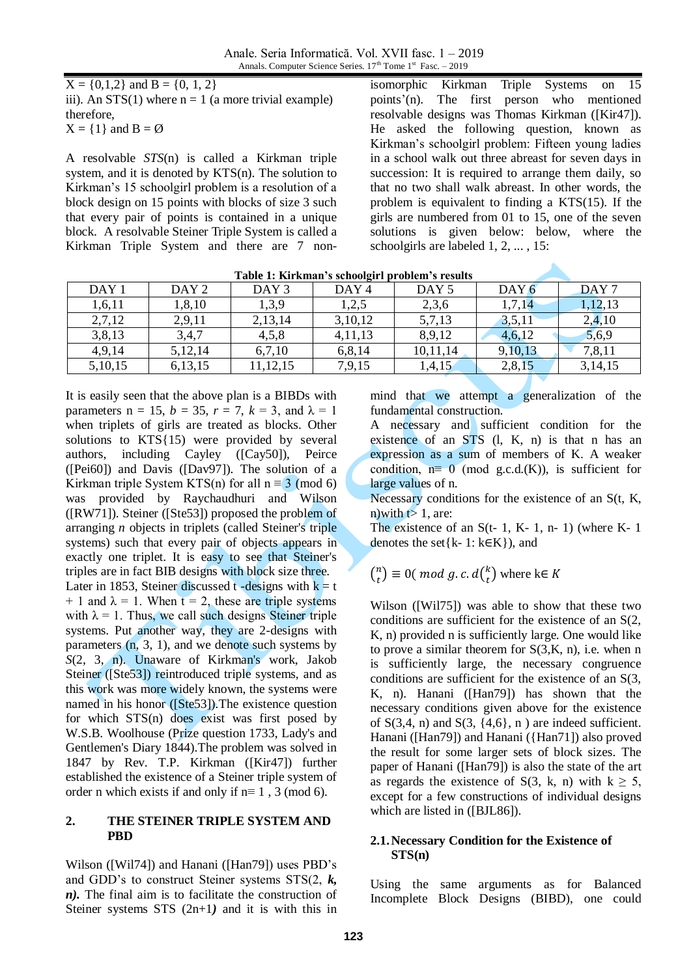$X = \{0, 1, 2\}$  and  $B = \{0, 1, 2\}$ iii). An  $STS(1)$  where  $n = 1$  (a more trivial example) therefore,  $X = \{1\}$  and  $B = \emptyset$ 

A resolvable *STS*(n) is called a Kirkman triple system, and it is denoted by KTS(n). The solution to Kirkman's 15 schoolgirl problem is a resolution of a block design on 15 points with blocks of size 3 such that every pair of points is contained in a unique block. A resolvable Steiner Triple System is called a Kirkman Triple System and there are 7 non-

isomorphic Kirkman Triple Systems on 15 points'(n). The first person who mentioned resolvable designs was Thomas Kirkman ([Kir47]). He asked the following question, known as Kirkman's schoolgirl problem: Fifteen young ladies in a school walk out three abreast for seven days in succession: It is required to arrange them daily, so that no two shall walk abreast. In other words, the problem is equivalent to finding a KTS(15). If the girls are numbered from 01 to 15, one of the seven solutions is given below: below, where the schoolgirls are labeled 1, 2, ... , 15:

| Table 1: Kirkman's schoolgirl problem's results |                  |                  |                  |                  |                  |                  |  |  |
|-------------------------------------------------|------------------|------------------|------------------|------------------|------------------|------------------|--|--|
| DAY <sub>1</sub>                                | DAY <sub>2</sub> | DAY <sub>3</sub> | DAY <sub>4</sub> | DAY <sub>5</sub> | DAY <sub>6</sub> | DAY <sub>7</sub> |  |  |
| 1,6,11                                          | 1,8,10           | 1,3,9            | 1,2,5            | 2,3,6            | 1,7,14           | 1,12,13          |  |  |
| 2,7,12                                          | 2,9,11           | 2,13,14          | 3,10,12          | 5,7,13           | 3,5,11           | 2,4,10           |  |  |
| 3,8,13                                          | 3,4,7            | 4,5,8            | 4,11,13          | 8,9,12           | 4,6,12           | 5,6,9            |  |  |
| 4,9,14                                          | 5,12,14          | 6,7,10           | 6,8,14           | 10,11,14         | 9,10,13          | 7,8,11           |  |  |
| 5,10,15                                         | 6,13,15          | 11, 12, 15       | 7,9,15           | 1,4,15           | 2,8,15           | 3, 14, 15        |  |  |

**Table 1: Kirkman's schoolgirl problem's results**

It is easily seen that the above plan is a BIBDs with parameters n = 15,  $b = 35$ ,  $r = 7$ ,  $k = 3$ , and  $\lambda = 1$ when triplets of girls are treated as blocks. Other solutions to KTS{15) were provided by several authors, including Cayley ([Cay50]), Peirce ([Pei60]) and Davis ([Dav97]). The solution of a Kirkman triple System KTS(n) for all  $n \equiv 3 \pmod{6}$ was provided by Raychaudhuri and Wilson ([RW71]). Steiner ([Ste53]) proposed the problem of arranging *n* objects in triplets (called Steiner's triple systems) such that every pair of objects appears in exactly one triplet. It is easy to see that Steiner's triples are in fact BIB designs with block size three. Later in 1853, Steiner discussed t -designs with  $k = t$  $+ 1$  and  $\lambda = 1$ . When  $t = 2$ , these are triple systems with  $\lambda = 1$ . Thus, we call such designs Steiner triple systems. Put another way, they are 2-designs with parameters  $(n, 3, 1)$ , and we denote such systems by *S*(2, 3, n). Unaware of Kirkman's work, [Jakob](https://en.wikipedia.org/wiki/Jakob_Steiner)  [Steiner](https://en.wikipedia.org/wiki/Jakob_Steiner) ([Ste53]) reintroduced triple systems, and as this work was more widely known, the systems were named in his honor ([Ste53]).The existence question for which STS(n) does exist was first posed by W.S.B. Woolhouse (Prize question 1733, Lady's and Gentlemen's Diary 1844).The problem was solved in 1847 by Rev. T.P. Kirkman ([Kir47]) further established the existence of a Steiner triple system of order n which exists if and only if  $n \equiv 1$ , 3 (mod 6).

### **2. THE STEINER TRIPLE SYSTEM AND PBD**

Wilson ([Wil74]) and Hanani ([Han79]) uses PBD's and GDD's to construct Steiner systems STS(2, *k, n*). The final aim is to facilitate the construction of Steiner systems STS (2n+1*)* and it is with this in mind that we attempt a generalization of the fundamental construction.

A necessary and sufficient condition for the existence of an STS (l, K, n) is that n has an expression as a sum of members of K. A weaker condition,  $n \equiv 0 \pmod{g.c.d.(K)}$ , is sufficient for large values of n.

Necessary conditions for the existence of an S(t, K, n)with  $t>1$ , are:

The existence of an  $S(t-1, K-1, n-1)$  (where  $K-1$ ) denotes the set $\{k-1: k \in K\}$ ), and

 $\binom{n}{t}$  $\binom{n}{t} \equiv 0$ (mod g.c.d $\binom{k}{t}$  $\binom{k}{t}$  where k $\in$ 

Wilson ([Wil75]) was able to show that these two conditions are sufficient for the existence of an S(2, K, n) provided n is sufficiently large. One would like to prove a similar theorem for  $S(3,K,n)$ , i.e. when n is sufficiently large, the necessary congruence conditions are sufficient for the existence of an S(3, K, n). Hanani ([Han79]) has shown that the necessary conditions given above for the existence of  $S(3,4, n)$  and  $S(3, {4,6}, n)$  are indeed sufficient. Hanani ([Han79]) and Hanani ({Han71]) also proved the result for some larger sets of block sizes. The paper of Hanani ([Han79]) is also the state of the art as regards the existence of S(3, k, n) with  $k \ge 5$ , except for a few constructions of individual designs which are listed in ([BJL86]).

### **2.1.Necessary Condition for the Existence of STS(n)**

Using the same arguments as for Balanced Incomplete Block Designs (BIBD), one could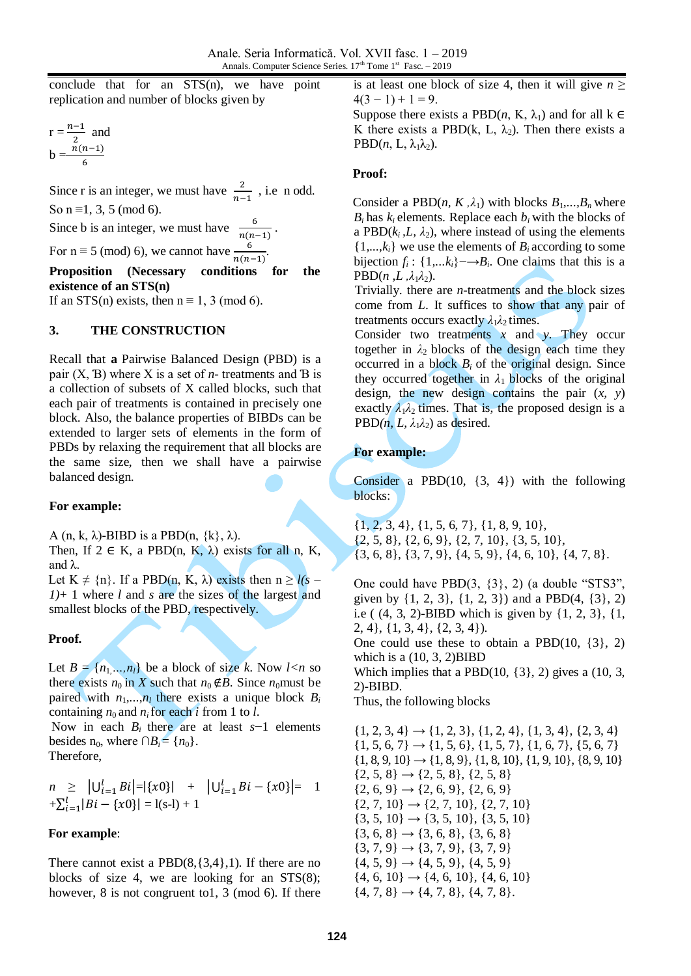conclude that for an STS(n), we have point replication and number of blocks given by

$$
r = \frac{n-1}{2} \text{ and}
$$
  

$$
b = \frac{n(n-1)}{6}
$$

Since r is an integer, we must have  $\frac{2}{n-1}$ , i.e. n odd. So  $n \equiv 1, 3, 5 \pmod{6}$ . Since b is an integer, we must have  $\frac{6}{\pi}$  $\frac{6}{n(n-1)}$ . For  $n \equiv 5 \pmod{6}$ , we cannot have  $\frac{6}{n(n-1)}$ .

**Proposition (Necessary conditions for the existence of an STS(n)**

If an STS(n) exists, then  $n \equiv 1, 3 \pmod{6}$ .

#### **3. THE CONSTRUCTION**

Recall that **a** Pairwise Balanced Design (PBD) is a pair  $(X, B)$  where X is a set of *n*- treatments and B is a collection of subsets of X called blocks, such that each pair of treatments is contained in precisely one block. Also, the balance properties of BIBDs can be extended to larger sets of elements in the form of PBDs by relaxing the requirement that all blocks are the same size, then we shall have a pairwise balanced design.

#### **For example:**

A (n, k,  $\lambda$ )-BIBD is a PBD(n,  $\{k\}, \lambda$ ).

Then, If  $2 \in K$ , a PBD(n, K,  $\lambda$ ) exists for all n, K, and λ.

Let  $K \neq \{n\}$ . If a PBD(n, K,  $\lambda$ ) exists then  $n \geq l(s - 1)$ *1)*+ 1 where *l* and *s* are the sizes of the largest and smallest blocks of the PBD, respectively.

### **Proof.**

Let  $B = \{n_1, \ldots, n_l\}$  be a block of size *k*. Now  $l < n$  so there exists  $n_0$  in *X* such that  $n_0 \notin B$ . Since  $n_0$  must be paired with  $n_1, \ldots, n_l$  there exists a unique block  $B_i$ containing  $n_0$  and  $n_i$  for each *i* from 1 to *l*.

Now in each  $B_i$  there are at least  $s-1$  elements besides  $n_0$ , where  $\bigcap B_i = \{n_0\}.$ 

Therefore,

$$
n \geq |U_{i=1}^l Bi| = |\{x0\}| + |U_{i=1}^l Bi - \{x0\}| = 1
$$
  
+ $\sum_{i=1}^l |Bi - \{x0\}| = 1$ (s-l) + 1

### **For example**:

There cannot exist a  $PBD(8,\{3,4\},1)$ . If there are no blocks of size 4, we are looking for an STS(8); however, 8 is not congruent to1, 3 (mod 6). If there

is at least one block of size 4, then it will give  $n \geq$  $4(3 - 1) + 1 = 9$ .

Suppose there exists a PBD $(n, K, \lambda_1)$  and for all  $k \in$ K there exists a PBD(k, L,  $\lambda_2$ ). Then there exists a  $PBD(n, L, \lambda_1\lambda_2)$ .

#### **Proof:**

Consider a PBD $(n, K, \lambda_1)$  with blocks  $B_1, \ldots, B_n$  where  $B_i$  has  $k_i$  elements. Replace each  $b_i$  with the blocks of a PBD $(k_i, L, \lambda_2)$ , where instead of using the elements  $\{1, \ldots, k_i\}$  we use the elements of  $B_i$  according to some bijection  $f_i$ : {1,... $k_i$ }  $\rightarrow B_i$ . One claims that this is a  $PBD(n, L, \lambda_1\lambda_2)$ .

Trivially. there are *n-*treatments and the block sizes come from *L*. It suffices to show that any pair of treatments occurs exactly  $\lambda_1 \lambda_2$  times.

Consider two treatments *x* and *y*. They occur together in  $\lambda_2$  blocks of the design each time they occurred in a block  $B_i$  of the original design. Since they occurred together in  $\lambda_1$  blocks of the original design, the new design contains the pair  $(x, y)$ exactly  $\lambda_1 \lambda_2$  times. That is, the proposed design is a PBD $(n, L, \lambda_1 \lambda_2)$  as desired.

### **For example:**

Consider a PBD $(10, \{3, 4\})$  with the following blocks:

{1, 2, 3, 4}, {1, 5, 6, 7}, {1, 8, 9, 10}, {2, 5, 8}, {2, 6, 9}, {2, 7, 10}, {3, 5, 10}, {3, 6, 8}, {3, 7, 9}, {4, 5, 9}, {4, 6, 10}, {4, 7, 8}.

One could have PBD(3, {3}, 2) (a double "STS3", given by {1, 2, 3}, {1, 2, 3}) and a PBD(4, {3}, 2) i.e ( (4, 3, 2)-BIBD which is given by {1, 2, 3}, {1, 2, 4}, {1, 3, 4}, {2, 3, 4}).

One could use these to obtain a PBD(10, {3}, 2) which is a  $(10, 3, 2)$ BIBD

Which implies that a PBD $(10, \{3\}, 2)$  gives a  $(10, 3, 3)$ 2)-BIBD.

Thus, the following blocks

 $\{1, 2, 3, 4\} \rightarrow \{1, 2, 3\}, \{1, 2, 4\}, \{1, 3, 4\}, \{2, 3, 4\}$  $\{1, 5, 6, 7\} \rightarrow \{1, 5, 6\}, \{1, 5, 7\}, \{1, 6, 7\}, \{5, 6, 7\}$  $\{1, 8, 9, 10\} \rightarrow \{1, 8, 9\}, \{1, 8, 10\}, \{1, 9, 10\}, \{8, 9, 10\}$  $\{2, 5, 8\} \rightarrow \{2, 5, 8\}, \{2, 5, 8\}$  $\{2, 6, 9\} \rightarrow \{2, 6, 9\}, \{2, 6, 9\}$  $\{2, 7, 10\} \rightarrow \{2, 7, 10\}, \{2, 7, 10\}$  $\{3, 5, 10\} \rightarrow \{3, 5, 10\}, \{3, 5, 10\}$  $\{3, 6, 8\} \rightarrow \{3, 6, 8\}, \{3, 6, 8\}$  $\{3, 7, 9\} \rightarrow \{3, 7, 9\}, \{3, 7, 9\}$  $\{4, 5, 9\} \rightarrow \{4, 5, 9\}, \{4, 5, 9\}$  $\{4, 6, 10\} \rightarrow \{4, 6, 10\}, \{4, 6, 10\}$  $\{4, 7, 8\} \rightarrow \{4, 7, 8\}, \{4, 7, 8\}.$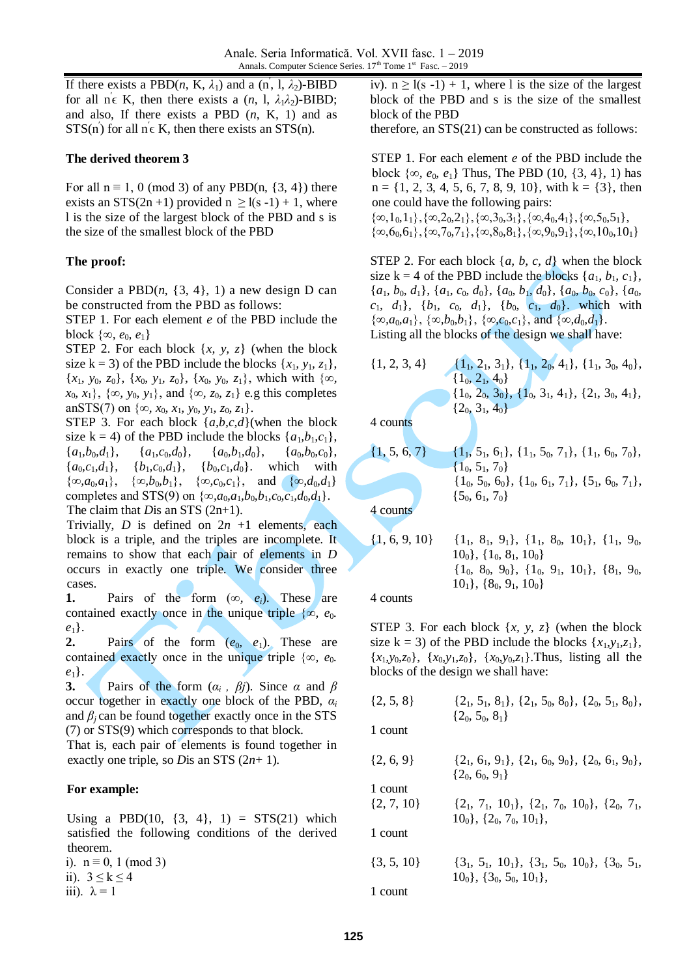If there exists a PBD $(n, K, \lambda_1)$  and a  $(n, 1, \lambda_2)$ -BIBD for all  $n \in K$ , then there exists a  $(n, 1, \lambda_1 \lambda_2)$ -BIBD; and also, If there exists a PBD (*n*, K, 1) and as  $STS(n')$  for all  $n \in K$ , then there exists an  $STS(n)$ .

### **The derived theorem 3**

For all  $n \equiv 1$ , 0 (mod 3) of any PBD(n, {3, 4}) there exists an STS(2n+1) provided  $n \ge l(s - 1) + 1$ , where l is the size of the largest block of the PBD and s is the size of the smallest block of the PBD

## **The proof:**

Consider a  $PBD(n, {3, 4}, 1)$  a new design D can be constructed from the PBD as follows:

STEP 1. For each element *e* of the PBD include the block  $\{\infty, e_0, e_1\}$ 

STEP 2. For each block  $\{x, y, z\}$  (when the block size k = 3) of the PBD include the blocks  $\{x_1, y_1, z_1\}$ , {*x*1*, y*0*, z*0}, {*x*0*, y*1*, z*0}, {*x*0*, y*0*, z*1}, which with {∞*, x*<sub>0</sub>*, x*<sub>1</sub>}, {∞*, y*<sub>0</sub>*, y*<sub>1</sub>}, and {∞*, z*<sub>0</sub>*, z*<sub>1</sub>} e.g this completes anSTS(7) on  $\{\infty, x_0, x_1, y_0, y_1, z_0, z_1\}.$ 

STEP 3. For each block {*a,b,c,d*}(when the block size k = 4) of the PBD include the blocks  $\{a_1, b_1, c_1\}$ ,  ${a_1, b_0, d_1}, \quad {a_1, c_0, d_0}, \quad {a_0, b_1, d_0}, \quad {a_0, b_0, c_0},$  ${a_0, c_1, d_1}, \quad {b_1, c_0, d_1}, \quad {b_0, c_1, d_0}. \quad \text{which} \quad \text{with}$  $\{\infty, a_0, a_1\}, \{\infty, b_0, b_1\}, \{\infty, c_0, c_1\}, \text{and } \{\infty, d_0, d_1\}$ completes and STS(9) on  $\{\infty, a_0, a_1, b_0, b_1, c_0, c_1, d_0, d_1\}.$ The claim that *D*is an STS (2n+1).

Trivially, *D* is defined on  $2n +1$  elements, each block is a triple, and the triples are incomplete. It remains to show that each pair of elements in *D* occurs in exactly one triple. We consider three cases.

**1.** Pairs of the form (∞*, ei*). These are contained exactly once in the unique triple {∞*, e*0*.*   $e_1$ .

**2.** Pairs of the form  $(e_0, e_1)$ . These are contained exactly once in the unique triple {∞,  $e_0$ *. e*1}.

**3.** Pairs of the form  $(a_i, \beta_i)$ . Since  $\alpha$  and  $\beta$ occur together in exactly one block of the PBD, *α<sup>i</sup>* and  $\beta$ <sup>*j*</sup> can be found together exactly once in the STS (7) or STS(9) which corresponds to that block.

That is, each pair of elements is found together in exactly one triple, so *D*is an STS (2*n*+ 1).

### **For example:**

Using a PBD(10,  $\{3, 4\}$ , 1) = STS(21) which satisfied the following conditions of the derived theorem.

i).  $n \equiv 0, 1 \pmod{3}$ ii).  $3 \leq k \leq 4$ iii).  $\lambda = 1$ 

iv).  $n \ge l(s - 1) + 1$ , where l is the size of the largest block of the PBD and s is the size of the smallest block of the PBD

therefore, an STS(21) can be constructed as follows:

STEP 1. For each element *e* of the PBD include the block  $\{\infty, e_0, e_1\}$  Thus, The PBD (10, {3, 4}, 1) has  $n = \{1, 2, 3, 4, 5, 6, 7, 8, 9, 10\}$ , with  $k = \{3\}$ , then one could have the following pairs:  ${\{\infty,1_0,1_1\},\{\infty,2_0,2_1\},\{\infty,3_0,3_1\},\{\infty,4_0,4_1\},\{\infty,5_0,5_1\}},$ 

 $\{\infty, 60, 61\}, \{\infty, 70, 71\}, \{\infty, 80, 81\}, \{\infty, 90, 91\}, \{\infty, 100, 101\}$ 

STEP 2. For each block {*a, b, c, d*} when the block size k = 4 of the PBD include the blocks  $\{a_1, b_1, c_1\}$ , {*a*1*, b*0*, d*1}, {*a*1*, c*0*, d*0}, {*a*0*, b*1*, d*0}, {*a*0*, b*0*, c*0}, {*a*0*,*  $c_1$ ,  $d_1$ ,  $\{b_1, c_0, d_1\}$ ,  $\{b_0, c_1, d_0\}$ , which with  $\{\infty, a_0, a_1\}, \{\infty, b_0, b_1\}, \{\infty, c_0, c_1\}, \text{and } \{\infty, d_0, d_1\}.$ Listing all the blocks of the design we shall have:

 $\{1, 2, 3, 4\}$   $\{1_1, 2_1, 3_1\}, \{1_1, 2_0, 4_1\}, \{1_1, 3_0, 4_0\},$  $\{1_0, 2_1, 4_0\}$  $\{1_0, 2_0, 3_0\}, \{1_0, 3_1, 4_1\}, \{2_1, 3_0, 4_1\},\$  $\{2_0, 3_1, 4_0\}$ 4 counts  $\{1, 5, 6, 7\}$   $\{1_1, 5_1, 6_1\}, \{1_1, 5_0, 7_1\}, \{1_1, 6_0, 7_0\},$  $\{1_0, 5_1, 7_0\}$  $\{1_0, 5_0, 6_0\}, \{1_0, 6_1, 7_1\}, \{5_1, 6_0, 7_1\},\$  ${5_0, 6_1, 7_0}$ 

4 counts

$$
{1, 6, 9, 10} \n{1, 81, 91}, \n{11, 80, 101}, \n{11, 90,\n 100}, \n {10, 81, 100}\n {10, 80, 90}, \n {10, 91, 101}, \n {81, 90,\n 101}, \n {80, 91, 100}
$$

4 counts

STEP 3. For each block  $\{x, y, z\}$  (when the block size  $k = 3$ ) of the PBD include the blocks  $\{x_1, y_1, z_1\}$ , {*x*1*,y*0*,z*0}, {*x*0*,y*1*,z*0}, {*x*0*,y*0*,z*1}.Thus, listing all the blocks of the design we shall have:

| $\{2, 5, 8\}$  | $\{2_1, 5_1, 8_1\}, \{2_1, 5_0, 8_0\}, \{2_0, 5_1, 8_0\},\$<br>$\{2_0, 5_0, 8_1\}$        |
|----------------|-------------------------------------------------------------------------------------------|
| 1 count        |                                                                                           |
| $\{2, 6, 9\}$  | $\{2_1, 6_1, 9_1\}, \{2_1, 6_0, 9_0\}, \{2_0, 6_1, 9_0\},$<br>$\{2_0, 6_0, 9_1\}$         |
| 1 count        |                                                                                           |
| $\{2, 7, 10\}$ | $\{2_1, 7_1, 10_1\}, \{2_1, 7_0, 10_0\}, \{2_0, 7_1,$<br>$\{10_0\}, \{2_0, 7_0, 10_1\},\$ |
| 1 count        |                                                                                           |
| $\{3, 5, 10\}$ | $\{3_1, 5_1, 10_1\}, \{3_1, 5_0, 10_0\}, \{3_0, 5_1,$<br>$\{10_0\}, \{3_0, 5_0, 10_1\},\$ |
| 1 count        |                                                                                           |